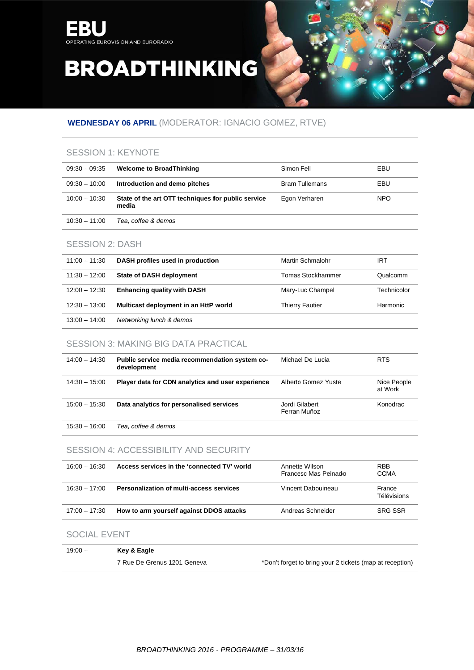

## **WEDNESDAY 06 APRIL (MODERATOR: IGNACIO GOMEZ, RTVE)**

### **SESSION 1: KEYNOTE**

| $09.30 - 09.35$ | <b>Welcome to BroadThinking</b>                             | Simon Fell            | EBU  |
|-----------------|-------------------------------------------------------------|-----------------------|------|
| $09:30 - 10:00$ | Introduction and demo pitches                               | <b>Bram Tullemans</b> | EBU  |
| $10:00 - 10:30$ | State of the art OTT techniques for public service<br>media | Egon Verharen         | NPO. |
| $10:30 - 11:00$ | Tea. coffee & demos                                         |                       |      |

### **SESSION 2: DASH**

| $11:00 - 11:30$ | DASH profiles used in production      | Martin Schmalohr         | IRT         |
|-----------------|---------------------------------------|--------------------------|-------------|
| $11:30 - 12:00$ | <b>State of DASH deployment</b>       | <b>Tomas Stockhammer</b> | Qualcomm    |
| $12:00 - 12:30$ | <b>Enhancing quality with DASH</b>    | Mary-Luc Champel         | Technicolor |
| $12:30 - 13:00$ | Multicast deployment in an HttP world | <b>Thierry Fautier</b>   | Harmonic    |
| $13:00 - 14:00$ | Networking lunch & demos              |                          |             |

### **SESSION 3: MAKING BIG DATA PRACTICAL**

| $14:00 - 14:30$ | Public service media recommendation system co-<br>development | Michael De Lucia               | <b>RTS</b>             |
|-----------------|---------------------------------------------------------------|--------------------------------|------------------------|
| $14:30 - 15:00$ | Player data for CDN analytics and user experience             | Alberto Gomez Yuste            | Nice People<br>at Work |
| $15:00 - 15:30$ | Data analytics for personalised services                      | Jordi Gilabert<br>Ferran Muñoz | Konodrac               |

15:30 - 16:00 Tea, coffee & demos

### SESSION 4: ACCESSIBILITY AND SECURITY

| $16:00 - 16:30$ | Access services in the 'connected TV' world     | Annette Wilson<br>Francesc Mas Peinado | <b>RBB</b><br><b>CCMA</b> |
|-----------------|-------------------------------------------------|----------------------------------------|---------------------------|
| $16:30 - 17:00$ | <b>Personalization of multi-access services</b> | Vincent Dabouineau                     | France<br>Télévisions     |
| $17:00 - 17:30$ | How to arm yourself against DDOS attacks        | Andreas Schneider                      | <b>SRG SSR</b>            |

#### SOCIAL EVENT

| $19:00 -$ | Key & Eagle                 |                                                          |
|-----------|-----------------------------|----------------------------------------------------------|
|           | 7 Rue De Grenus 1201 Geneva | *Don't forget to bring your 2 tickets (map at reception) |